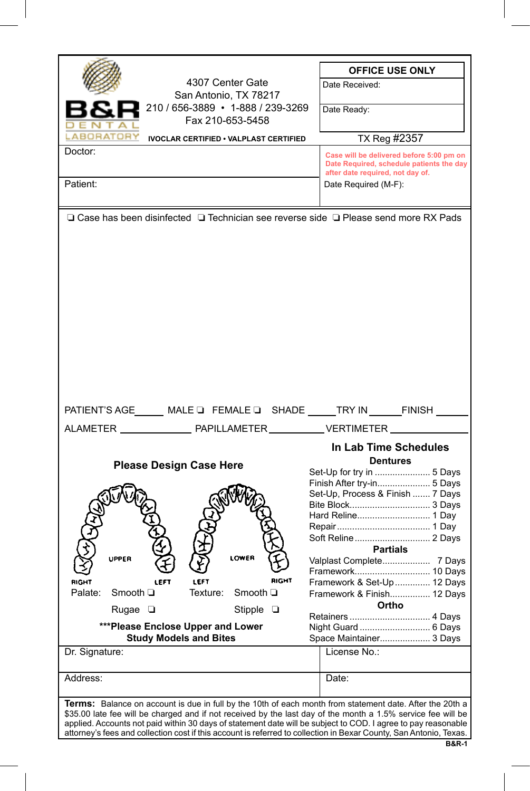|                                                                                                                                                                                                                                     | <b>OFFICE USE ONLY</b>                   |  |
|-------------------------------------------------------------------------------------------------------------------------------------------------------------------------------------------------------------------------------------|------------------------------------------|--|
| 4307 Center Gate                                                                                                                                                                                                                    | Date Received:                           |  |
| San Antonio, TX 78217                                                                                                                                                                                                               |                                          |  |
| 210 / 656-3889 • 1-888 / 239-3269                                                                                                                                                                                                   | Date Ready:                              |  |
| Fax 210-653-5458                                                                                                                                                                                                                    |                                          |  |
| <b>ABORATORY</b><br><b>IVOCLAR CERTIFIED . VALPLAST CERTIFIED</b>                                                                                                                                                                   | TX Reg #2357                             |  |
| Doctor:                                                                                                                                                                                                                             | Case will be delivered before 5:00 pm on |  |
|                                                                                                                                                                                                                                     | Date Required, schedule patients the day |  |
|                                                                                                                                                                                                                                     | after date required, not day of.         |  |
| Patient:                                                                                                                                                                                                                            | Date Required (M-F):                     |  |
|                                                                                                                                                                                                                                     |                                          |  |
| $\Box$ Case has been disinfected $\Box$ Technician see reverse side $\Box$ Please send more RX Pads                                                                                                                                 |                                          |  |
|                                                                                                                                                                                                                                     |                                          |  |
|                                                                                                                                                                                                                                     |                                          |  |
|                                                                                                                                                                                                                                     |                                          |  |
|                                                                                                                                                                                                                                     |                                          |  |
|                                                                                                                                                                                                                                     |                                          |  |
|                                                                                                                                                                                                                                     |                                          |  |
|                                                                                                                                                                                                                                     |                                          |  |
|                                                                                                                                                                                                                                     |                                          |  |
|                                                                                                                                                                                                                                     |                                          |  |
|                                                                                                                                                                                                                                     |                                          |  |
|                                                                                                                                                                                                                                     |                                          |  |
|                                                                                                                                                                                                                                     |                                          |  |
|                                                                                                                                                                                                                                     |                                          |  |
|                                                                                                                                                                                                                                     |                                          |  |
|                                                                                                                                                                                                                                     |                                          |  |
| PATIENT'S AGE _____ MALE Q FEMALE Q SHADE _____ TRY IN ______ FINISH _____                                                                                                                                                          |                                          |  |
|                                                                                                                                                                                                                                     |                                          |  |
|                                                                                                                                                                                                                                     |                                          |  |
|                                                                                                                                                                                                                                     | In Lab Time Schedules                    |  |
| <b>Please Design Case Here</b>                                                                                                                                                                                                      | Dentures                                 |  |
|                                                                                                                                                                                                                                     | Set-Up for try in  5 Days                |  |
|                                                                                                                                                                                                                                     | Finish After try-in 5 Days               |  |
|                                                                                                                                                                                                                                     | Set-Up, Process & Finish  7 Days         |  |
|                                                                                                                                                                                                                                     |                                          |  |
|                                                                                                                                                                                                                                     |                                          |  |
|                                                                                                                                                                                                                                     |                                          |  |
|                                                                                                                                                                                                                                     | <b>Partials</b>                          |  |
| LOWER<br>UPPER                                                                                                                                                                                                                      | Valplast Complete 7 Days                 |  |
|                                                                                                                                                                                                                                     | Framework 10 Days                        |  |
| RIGHT<br>LEFT                                                                                                                                                                                                                       | Framework & Set-Up  12 Days              |  |
| Palate:<br>Smooth ⊡<br>Smooth ⊡<br>Texture:                                                                                                                                                                                         | Framework & Finish 12 Days               |  |
|                                                                                                                                                                                                                                     | Ortho                                    |  |
| Rugae □<br>Stipple $\Box$                                                                                                                                                                                                           |                                          |  |
| ***Please Enclose Upper and Lower                                                                                                                                                                                                   |                                          |  |
|                                                                                                                                                                                                                                     | Night Guard  6 Days                      |  |
| <b>Study Models and Bites</b>                                                                                                                                                                                                       | Space Maintainer 3 Days                  |  |
| Dr. Signature:                                                                                                                                                                                                                      | License No∴                              |  |
|                                                                                                                                                                                                                                     |                                          |  |
| Address:                                                                                                                                                                                                                            | Date:                                    |  |
|                                                                                                                                                                                                                                     |                                          |  |
|                                                                                                                                                                                                                                     |                                          |  |
| <b>Terms:</b> Balance on account is due in full by the 10th of each month from statement date. After the 20th a<br>\$35.00 late fee will be charged and if not received by the last day of the month a 1.5% service fee will be     |                                          |  |
| applied. Accounts not paid within 30 days of statement date will be subject to COD. I agree to pay reasonable<br>attorney's fees and collection cost if this account is referred to collection in Bexar County, San Antonio, Texas. |                                          |  |